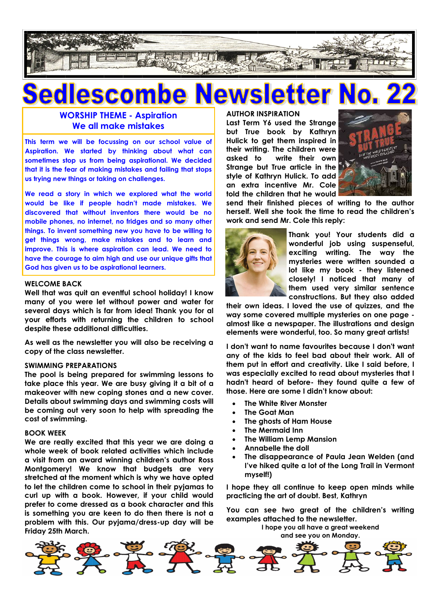

### vslei jedl **ite** escom **AV**  $\blacksquare$

# **WORSHIP THEME - Aspiration We all make mistakes**

**This term we will be focussing on our school value of Aspiration. We started by thinking about what can sometimes stop us from being aspirational. We decided that it is the fear of making mistakes and failing that stops us trying new things or taking on challenges.**

**We read a story in which we explored what the world would be like if people hadn't made mistakes. We discovered that without inventors there would be no mobile phones, no internet, no fridges and so many other things. To invent something new you have to be willing to get things wrong, make mistakes and to learn and improve. This is where aspiration can lead. We need to have the courage to aim high and use our unique gifts that God has given us to be aspirational learners.**

### **WELCOME BACK**

**Well that was quit an eventful school holiday! I know many of you were let without power and water for several days which is far from idea! Thank you for al your efforts with returning the children to school despite these additional difficulties.**

**As well as the newsletter you will also be receiving a copy of the class newsletter.**

## **SWIMMING PREPARATIONS**

**The pool is being prepared for swimming lessons to take place this year. We are busy giving it a bit of a makeover with new coping stones and a new cover. Details about swimming days and swimming costs will be coming out very soon to help with spreading the cost of swimming.**

### **BOOK WEEK**

**We are really excited that this year we are doing a whole week of book related activities which include a visit from an award winning children's author Ross Montgomery! We know that budgets are very stretched at the moment which is why we have opted to let the children come to school in their pyjamas to curl up with a book. However, if your child would prefer to come dressed as a book character and this is something you are keen to do then there is not a problem with this. Our pyjama/dress-up day will be Friday 25th March.**

### **AUTHOR INSPIRATION**

**Last Term Y6 used the Strange but True book by Kathryn Hulick to get them inspired in their writing. The children were asked to write their own Strange but True article in the style of Kathryn Hulick. To add an extra incentive Mr. Cole told the children that he would** 



**send their finished pieces of writing to the author herself. Well she took the time to read the children's work and send Mr. Cole this reply:**



**Thank you! Your students did a wonderful job using suspenseful, exciting writing. The way the mysteries were written sounded a lot like my book - they listened closely! I noticed that many of them used very similar sentence constructions. But they also added** 

**their own ideas. I loved the use of quizzes, and the way some covered multiple mysteries on one page almost like a newspaper. The illustrations and design elements were wonderful, too. So many great artists!**

**I don't want to name favourites because I don't want any of the kids to feel bad about their work. All of them put in effort and creativity. Like I said before, I was especially excited to read about mysteries that I hadn't heard of before- they found quite a few of those. Here are some I didn't know about:**

- **The White River Monster**
- **The Goat Man**
- **The ghosts of Ham House**
- **The Mermaid Inn**
- **The William Lemp Mansion**
- **Annabelle the doll**
- **The disappearance of Paula Jean Welden (and I've hiked quite a lot of the Long Trail in Vermont myself!)**

**I hope they all continue to keep open minds while practicing the art of doubt. Best, Kathryn**

**You can see two great of the children's writing examples attached to the newsletter.**

**I hope you all have a great weekend and see you on Monday.**